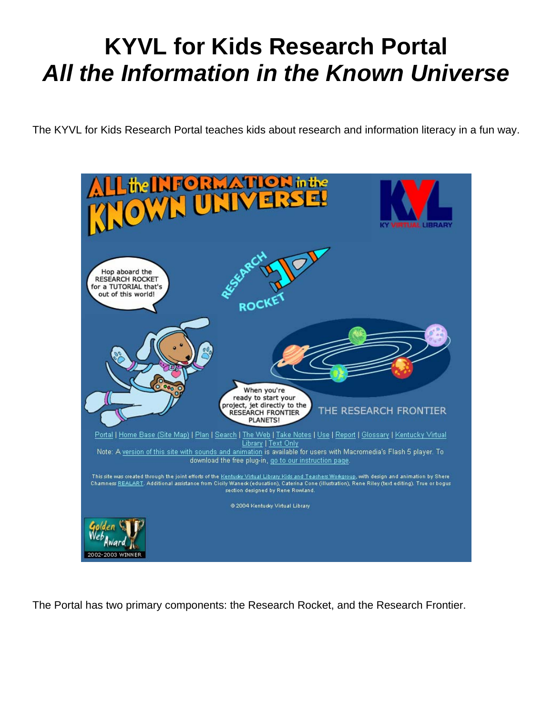# **KYVL for Kids Research Portal**  *All the Information in the Known Universe*

The KYVL for Kids Research Portal teaches kids about research and information literacy in a fun way.



The Portal has two primary components: the Research Rocket, and the Research Frontier.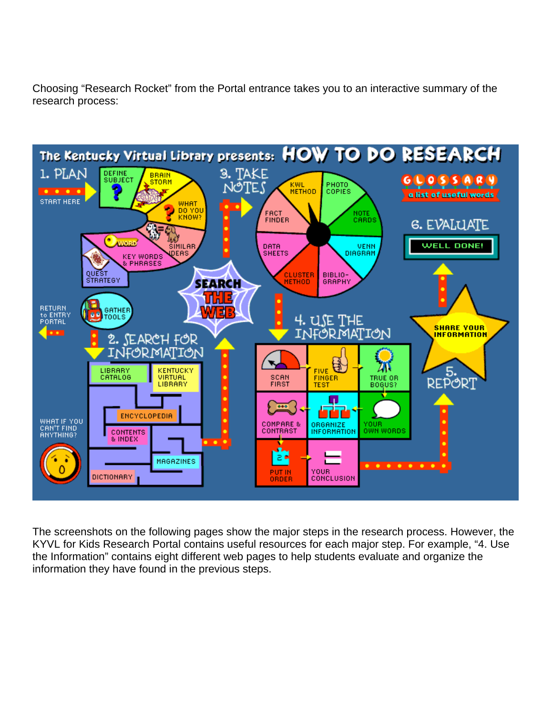Choosing "Research Rocket" from the Portal entrance takes you to an interactive summary of the research process:



The screenshots on the following pages show the major steps in the research process. However, the KYVL for Kids Research Portal contains useful resources for each major step. For example, "4. Use the Information" contains eight different web pages to help students evaluate and organize the information they have found in the previous steps.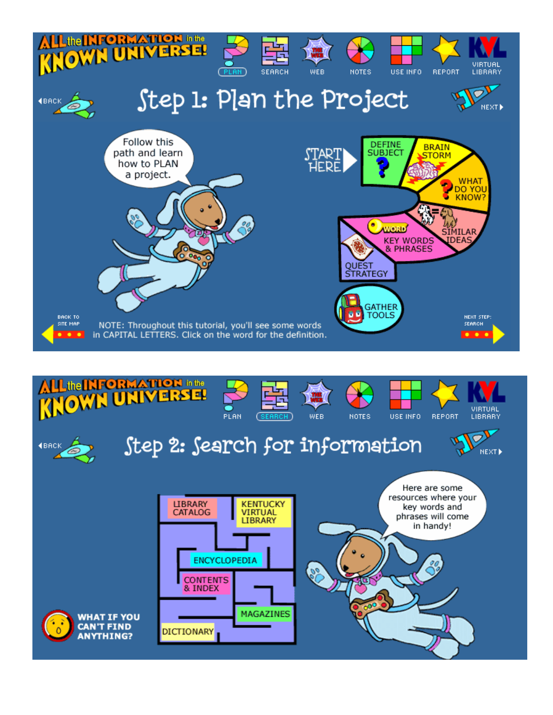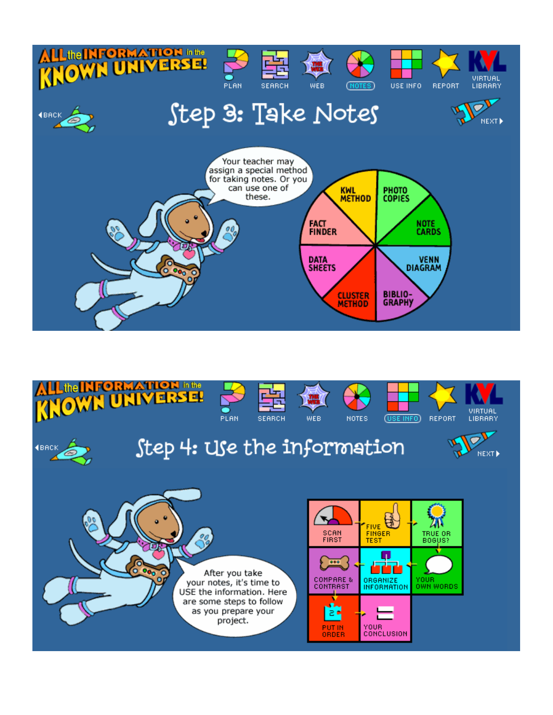

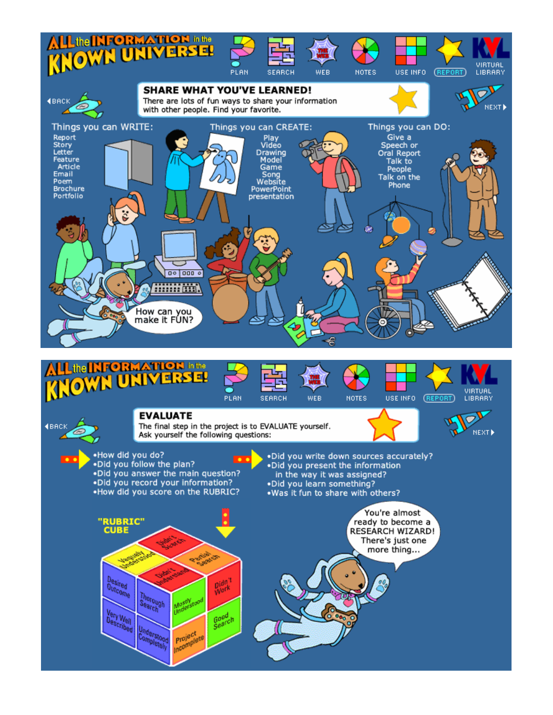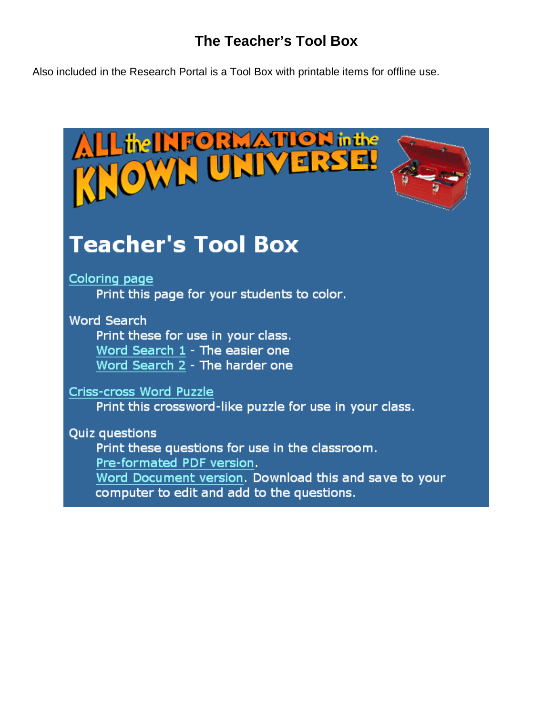# **The Teacher's Tool Box**

Also included in the Research Portal is a Tool Box with printable items for offline use.

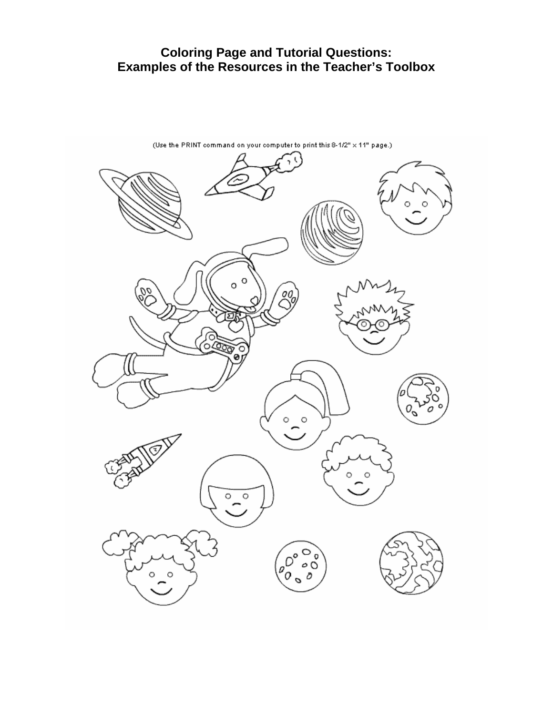# **Coloring Page and Tutorial Questions: Examples of the Resources in the Teacher's Toolbox**

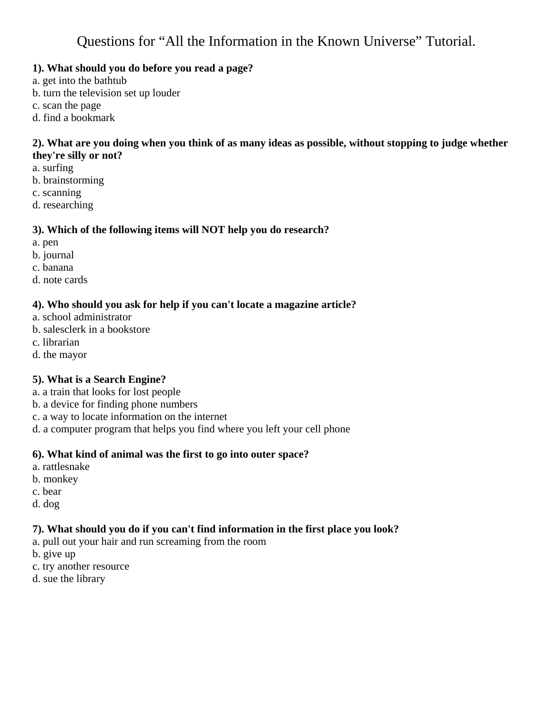# **1). What should you do before you read a page?**

- a. get into the bathtub
- b. turn the television set up louder
- c. scan the page
- d. find a bookmark

#### **2). What are you doing when you think of as many ideas as possible, without stopping to judge whether they're silly or not?**

- a. surfing
- b. brainstorming
- c. scanning
- d. researching

# **3). Which of the following items will NOT help you do research?**

- a. pen
- b. journal
- c. banana
- d. note cards

# **4). Who should you ask for help if you can't locate a magazine article?**

- a. school administrator
- b. salesclerk in a bookstore
- c. librarian
- d. the mayor

# **5). What is a Search Engine?**

- a. a train that looks for lost people
- b. a device for finding phone numbers
- c. a way to locate information on the internet
- d. a computer program that helps you find where you left your cell phone

# **6). What kind of animal was the first to go into outer space?**

- a. rattlesnake
- b. monkey
- c. bear
- d. dog

# **7). What should you do if you can't find information in the first place you look?**

- a. pull out your hair and run screaming from the room
- b. give up
- c. try another resource
- d. sue the library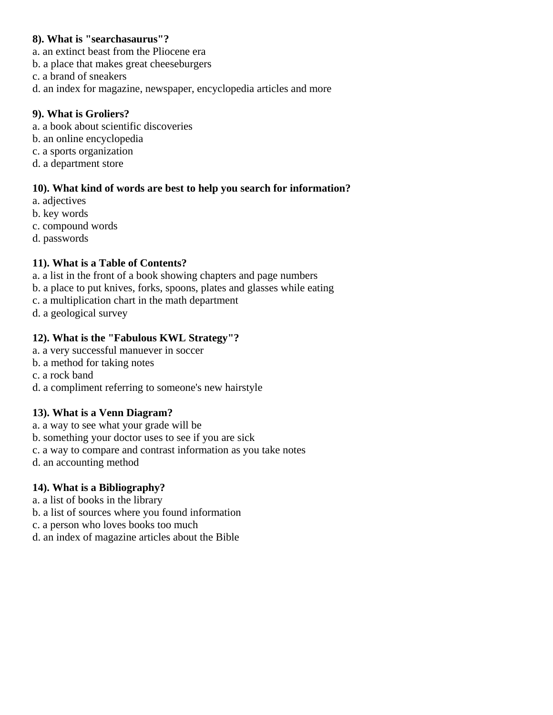#### **8). What is "searchasaurus"?**

- a. an extinct beast from the Pliocene era
- b. a place that makes great cheeseburgers
- c. a brand of sneakers
- d. an index for magazine, newspaper, encyclopedia articles and more

#### **9). What is Groliers?**

- a. a book about scientific discoveries
- b. an online encyclopedia
- c. a sports organization
- d. a department store

#### **10). What kind of words are best to help you search for information?**

- a. adjectives
- b. key words
- c. compound words
- d. passwords

#### **11). What is a Table of Contents?**

- a. a list in the front of a book showing chapters and page numbers
- b. a place to put knives, forks, spoons, plates and glasses while eating
- c. a multiplication chart in the math department
- d. a geological survey

# **12). What is the "Fabulous KWL Strategy"?**

- a. a very successful manuever in soccer
- b. a method for taking notes
- c. a rock band
- d. a compliment referring to someone's new hairstyle

#### **13). What is a Venn Diagram?**

- a. a way to see what your grade will be
- b. something your doctor uses to see if you are sick
- c. a way to compare and contrast information as you take notes
- d. an accounting method

#### **14). What is a Bibliography?**

- a. a list of books in the library
- b. a list of sources where you found information
- c. a person who loves books too much
- d. an index of magazine articles about the Bible